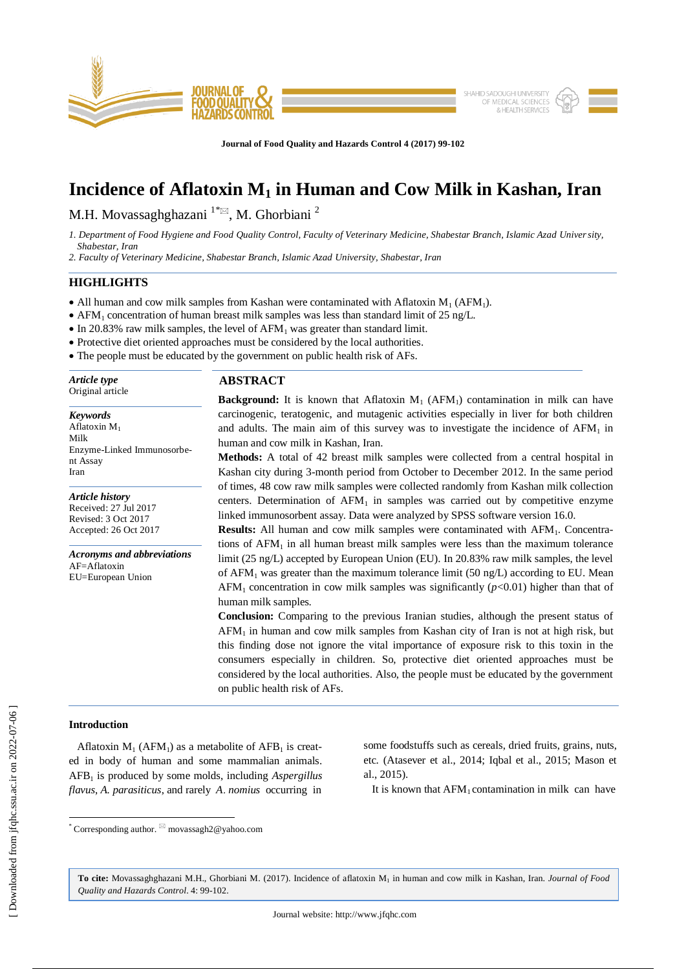

**Journal of Food Quality and Hazards Control 4 (2017) 99-102**

# **Incidence of Aflatoxin M<sup>1</sup> in Human and Cow Milk in Kashan, Iran**

M.H. Movassaghghazani  $1^{*}\Xi$ , M. Ghorbiani <sup>2</sup>

*1. Department of Food Hygiene and Food Quality Control, Faculty of Veterinary Medicine, Shabestar Branch, Islamic Azad University, Shabestar, Iran* 

*2. Faculty of Veterinary Medicine, Shabestar Branch, Islamic Azad University, Shabestar, Iran*

## **HIGHLIGHTS**

- All human and cow milk samples from Kashan were contaminated with Aflatoxin  $M_1$  (AFM<sub>1</sub>).
- AFM<sub>1</sub> concentration of human breast milk samples was less than standard limit of 25 ng/L.
- $\bullet$  In 20.83% raw milk samples, the level of AFM<sub>1</sub> was greater than standard limit.
- Protective diet oriented approaches must be considered by the local authorities.
- The people must be educated by the government on public health risk of AFs.

÷ *Article type* Original article

*Keywords* Aflatoxin M<sup>1</sup> Milk Enzyme-Linked Immunosorbent Assay Iran

*Article history* Received: 27 Jul 2017 Revised: 3 Oct 2017 Accepted: 26 Oct 2017

*Acronyms and abbreviations*  $AF = Af$ latoxin EU=European Union

# **ABSTRACT**

**Background:** It is known that Aflatoxin  $M_1$  (AFM<sub>1</sub>) contamination in milk can have carcinogenic, teratogenic, and mutagenic activities especially in liver for both children and adults. The main aim of this survey was to investigate the incidence of  $AFM<sub>1</sub>$  in human and cow milk in Kashan, Iran.

**Methods:** A total of 42 breast milk samples were collected from a central hospital in Kashan city during 3-month period from October to December 2012. In the same period of times, 48 cow raw milk samples were collected randomly from Kashan milk collection centers. Determination of  $AFM_1$  in samples was carried out by competitive enzyme linked immunosorbent assay. Data were analyzed by SPSS software version 16.0.

**Results:** All human and cow milk samples were contaminated with AFM<sub>1</sub>. Concentrations of  $AFM<sub>1</sub>$  in all human breast milk samples were less than the maximum tolerance limit (25 ng/L) accepted by European Union (EU). In 20.83% raw milk samples, the level of  $AFM<sub>1</sub>$  was greater than the maximum tolerance limit (50 ng/L) according to EU. Mean AFM<sub>1</sub> concentration in cow milk samples was significantly ( $p$ <0.01) higher than that of human milk samples.

**Conclusion:** Comparing to the previous Iranian studies, although the present status of  $AFM<sub>1</sub>$  in human and cow milk samples from Kashan city of Iran is not at high risk, but this finding dose not ignore the vital importance of exposure risk to this toxin in the consumers especially in children. So, protective diet oriented approaches must be considered by the local authorities. Also, the people must be educated by the government on public health risk of AFs.

# **Introduction**

 $\overline{\phantom{a}}$ 

Aflatoxin  $M_1$  (AFM<sub>1</sub>) as a metabolite of AFB<sub>1</sub> is created in body of human and some mammalian animals. AFB<sup>1</sup> is produced by some molds, including *Aspergillus flavus*, *A. parasiticus*, and rarely *A*. *nomius* occurring in some foodstuffs such as cereals, dried fruits, grains, nuts, etc. (Atasever et al., 2014; Iqbal et al., 2015; Mason et al., 2015).

It is known that  $AFM<sub>1</sub>$  contamination in milk can have

**To cite:** Movassaghghazani M.H., Ghorbiani M. (2017). Incidence of aflatoxin M<sup>1</sup> in human and cow milk in Kashan, Iran. *Journal of Food Quality and Hazards Control*. 4: 99-102.

<sup>\*</sup> Corresponding author. movassagh2@yahoo.com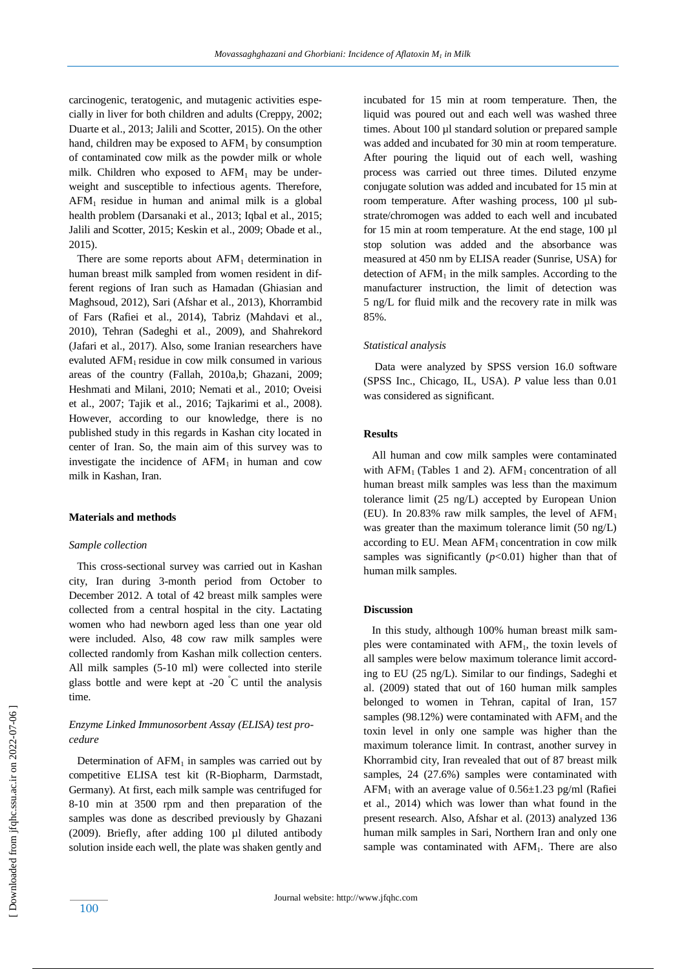carcinogenic, teratogenic, and mutagenic activities especially in liver for both children and adults (Creppy, 2002; Duarte et al., 2013; Jalili and Scotter, 2015). On the other hand, children may be exposed to  $AFM<sub>1</sub>$  by consumption of contaminated cow milk as the powder milk or whole milk. Children who exposed to  $AFM<sub>1</sub>$  may be underweight and susceptible to infectious agents. Therefore,  $AFM<sub>1</sub>$  residue in human and animal milk is a global health problem (Darsanaki et al., 2013; Iqbal et al., 2015; Jalili and Scotter, 2015; Keskin et al., 2009; Obade et al., 2015).

There are some reports about  $AFM<sub>1</sub>$  determination in human breast milk sampled from women resident in different regions of Iran such as Hamadan (Ghiasian and Maghsoud, 2012), Sari (Afshar et al., 2013), Khorrambid of Fars (Rafiei et al., 2014), Tabriz (Mahdavi et al., 2010), Tehran (Sadeghi et al., 2009), and Shahrekord (Jafari et al., 2017). Also, some Iranian researchers have evaluted AFM<sub>1</sub> residue in cow milk consumed in various areas of the country (Fallah, 2010a,b; Ghazani, 2009; Heshmati and Milani, 2010; Nemati et al., 2010; Oveisi et al., 2007; Tajik et al., 2016; Tajkarimi et al., 2008). However, according to our knowledge, there is no published study in this regards in Kashan city located in center of Iran. So, the main aim of this survey was to investigate the incidence of  $AFM<sub>1</sub>$  in human and cow milk in Kashan, Iran.

#### **Materials and methods**

#### *Sample collection*

 This cross-sectional survey was carried out in Kashan city, Iran during 3-month period from October to December 2012. A total of 42 breast milk samples were collected from a central hospital in the city. Lactating women who had newborn aged less than one year old were included. Also, 48 cow raw milk samples were collected randomly from Kashan milk collection centers. All milk samples (5-10 ml) were collected into sterile glass bottle and were kept at  $-20$  °C until the analysis time.

# *Enzyme Linked Immunosorbent Assay (ELISA) test procedure*

Determination of  $AFM<sub>1</sub>$  in samples was carried out by competitive ELISA test kit (R-Biopharm, Darmstadt, Germany). At first, each milk sample was centrifuged for 8-10 min at 3500 rpm and then preparation of the samples was done as described previously by Ghazani (2009). Briefly, after adding 100 µl diluted antibody solution inside each well, the plate was shaken gently and incubated for 15 min at room temperature. Then, the liquid was poured out and each well was washed three times. About 100 µl standard solution or prepared sample was added and incubated for 30 min at room temperature. After pouring the liquid out of each well, washing process was carried out three times. Diluted enzyme conjugate solution was added and incubated for 15 min at room temperature. After washing process, 100 µl substrate/chromogen was added to each well and incubated for 15 min at room temperature. At the end stage, 100 µl stop solution was added and the absorbance was measured at 450 nm by ELISA reader (Sunrise, USA) for detection of  $AFM<sub>1</sub>$  in the milk samples. According to the manufacturer instruction, the limit of detection was 5 ng/L for fluid milk and the recovery rate in milk was 85%.

#### *Statistical analysis*

 Data were analyzed by SPSS version 16.0 software (SPSS Inc., Chicago, IL, USA). *P* value less than 0.01 was considered as significant.

### **Results**

All human and cow milk samples were contaminated with  $AFM<sub>1</sub>$  (Tables 1 and 2).  $AFM<sub>1</sub>$  concentration of all human breast milk samples was less than the maximum tolerance limit (25 ng/L) accepted by European Union (EU). In 20.83% raw milk samples, the level of  $AFM<sub>1</sub>$ was greater than the maximum tolerance limit (50 ng/L) according to EU. Mean  $AFM<sub>1</sub>$  concentration in cow milk samples was significantly  $(p<0.01)$  higher than that of human milk samples.

#### **Discussion**

 In this study, although 100% human breast milk samples were contaminated with  $AFM<sub>1</sub>$ , the toxin levels of all samples were below maximum tolerance limit according to EU (25 ng/L). Similar to our findings, Sadeghi et al. (2009) stated that out of 160 human milk samples belonged to women in Tehran, capital of Iran, 157 samples (98.12%) were contaminated with  $AFM<sub>1</sub>$  and the toxin level in only one sample was higher than the maximum tolerance limit. In contrast, another survey in Khorrambid city, Iran revealed that out of 87 breast milk samples, 24 (27.6%) samples were contaminated with  $AFM<sub>1</sub>$  with an average value of  $0.56 \pm 1.23$  pg/ml (Rafiei et al., 2014) which was lower than what found in the present research. Also, Afshar et al. (2013) analyzed 136 human milk samples in Sari, Northern Iran and only one sample was contaminated with  $AFM<sub>1</sub>$ . There are also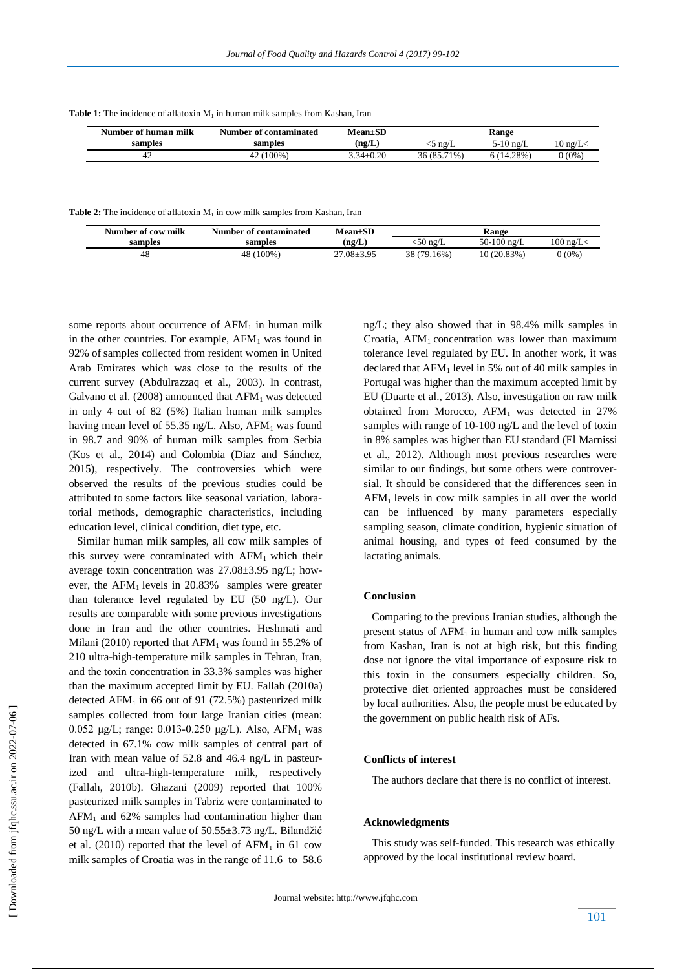| Number of human milk | Number of contaminated | <b>Mean±SD</b>  |             | Range     |                   |
|----------------------|------------------------|-----------------|-------------|-----------|-------------------|
| samples              | samples                | (ng/L)          | $-5$ ng/L   | 5-10 ng/L | $10 \text{ ng/L}$ |
| 42                   | 42 (100%)              | $3.34 \pm 0.20$ | 36 (85.71%) | 6(14.28%) | $0(0\%)$          |

**Table 1:** The incidence of aflatoxin M<sub>1</sub> in human milk samples from Kashan, Iran

**Table 2:** The incidence of aflatoxin M<sub>1</sub> in cow milk samples from Kashan, Iran

| Number of cow milk | Number of contaminated | <b>Mean±SD</b> |                   | Range         |                |
|--------------------|------------------------|----------------|-------------------|---------------|----------------|
| samples            | samples                | (ng/L)         | $50 \text{ ne/L}$ | 50-100 $ng/L$ | $100$ ng/L $<$ |
|                    | 48 (100%)              | 27.08±3.95     | 38 (79.16%)       | 10(20.83%)    | $0(0\%)$       |

some reports about occurrence of  $AFM<sub>1</sub>$  in human milk in the other countries. For example,  $AFM<sub>1</sub>$  was found in 92% of samples collected from resident women in United Arab Emirates which was close to the results of the current survey (Abdulrazzaq et al., 2003). In contrast, Galvano et al. (2008) announced that  $AFM<sub>1</sub>$  was detected in only 4 out of 82 (5%) Italian human milk samples having mean level of 55.35 ng/L. Also,  $AFM<sub>1</sub>$  was found in 98.7 and 90% of human milk samples from Serbia (Kos et al., 2014) and Colombia (Diaz and Sánchez, 2015), respectively. The controversies which were observed the results of the previous studies could be attributed to some factors like seasonal variation, laboratorial methods, demographic characteristics, including education level, clinical condition, diet type, etc.

 Similar human milk samples, all cow milk samples of this survey were contaminated with  $AFM<sub>1</sub>$  which their average toxin concentration was 27.08±3.95 ng/L; however, the  $AFM<sub>1</sub>$  levels in 20.83% samples were greater than tolerance level regulated by EU (50 ng/L). Our results are comparable with some previous investigations done in Iran and the other countries. Heshmati and Milani (2010) reported that  $AFM_1$  was found in 55.2% of 210 ultra-high-temperature milk samples in Tehran, Iran, and the toxin concentration in 33.3% samples was higher than the maximum accepted limit by EU. Fallah (2010a) detected AFM<sub>1</sub> in 66 out of 91 (72.5%) pasteurized milk samples collected from four large Iranian cities (mean: 0.052 μg/L; range: 0.013-0.250 μg/L). Also, AFM<sub>1</sub> was detected in 67.1% cow milk samples of central part of Iran with mean value of 52.8 and 46.4 ng/L in pasteurized and ultra-high-temperature milk, respectively (Fallah, 2010b). Ghazani (2009) reported that 100% pasteurized milk samples in Tabriz were contaminated to  $AFM<sub>1</sub>$  and 62% samples had contamination higher than 50 ng/L with a mean value of 50.55±3.73 ng/L. Bilandžić et al. (2010) reported that the level of  $AFM<sub>1</sub>$  in 61 cow milk samples of Croatia was in the range of 11.6 to 58.6 ng/L; they also showed that in 98.4% milk samples in Croatia,  $AFM<sub>1</sub>$  concentration was lower than maximum tolerance level regulated by EU. In another work, it was declared that  $AFM<sub>1</sub>$  level in 5% out of 40 milk samples in Portugal was higher than the maximum accepted limit by EU (Duarte et al., 2013). Also, investigation on raw milk obtained from Morocco,  $AFM<sub>1</sub>$  was detected in 27% samples with range of 10-100 ng/L and the level of toxin in 8% samples was higher than EU standard (El Marnissi et al., 2012). Although most previous researches were similar to our findings, but some others were controversial. It should be considered that the differences seen in  $AFM<sub>1</sub>$  levels in cow milk samples in all over the world can be influenced by many parameters especially sampling season, climate condition, hygienic situation of animal housing, and types of feed consumed by the lactating animals.

### **Conclusion**

 Comparing to the previous Iranian studies, although the present status of  $AFM<sub>1</sub>$  in human and cow milk samples from Kashan, Iran is not at high risk, but this finding dose not ignore the vital importance of exposure risk to this toxin in the consumers especially children. So, protective diet oriented approaches must be considered by local authorities. Also, the people must be educated by the government on public health risk of AFs.

## **Conflicts of interest**

The authors declare that there is no conflict of interest.

## **Acknowledgments**

 This study was self-funded. This research was ethically approved by the local institutional review board.